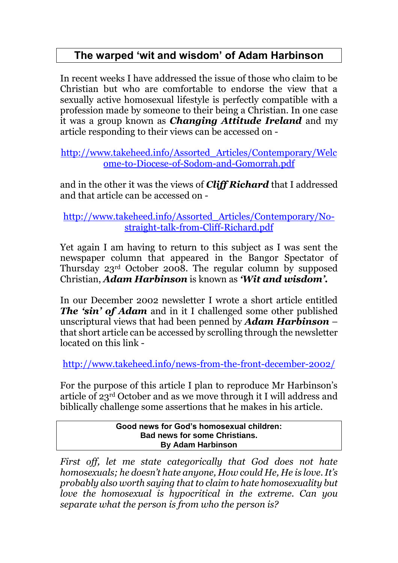# **The warped 'wit and wisdom' of Adam Harbinson**

In recent weeks I have addressed the issue of those who claim to be Christian but who are comfortable to endorse the view that a sexually active homosexual lifestyle is perfectly compatible with a profession made by someone to their being a Christian. In one case it was a group known as *Changing Attitude Ireland* and my article responding to their views can be accessed on -

[http://www.takeheed.info/Assorted\\_Articles/Contemporary/Welc](http://www.takeheed.info/Assorted_Articles/Contemporary/Welcome-to-Diocese-of-Sodom-and-Gomorrah.pdf) [ome-to-Diocese-of-Sodom-and-Gomorrah.pdf](http://www.takeheed.info/Assorted_Articles/Contemporary/Welcome-to-Diocese-of-Sodom-and-Gomorrah.pdf)

and in the other it was the views of *Cliff Richard* that I addressed and that article can be accessed on -

[http://www.takeheed.info/Assorted\\_Articles/Contemporary/No](http://www.takeheed.info/Assorted_Articles/Contemporary/No-straight-talk-from-Cliff-Richard.pdf)[straight-talk-from-Cliff-Richard.pdf](http://www.takeheed.info/Assorted_Articles/Contemporary/No-straight-talk-from-Cliff-Richard.pdf)

Yet again I am having to return to this subject as I was sent the newspaper column that appeared in the Bangor Spectator of Thursday 23rd October 2008. The regular column by supposed Christian, *Adam Harbinson* is known as *'Wit and wisdom'.* 

In our December 2002 newsletter I wrote a short article entitled *The 'sin' of Adam* and in it I challenged some other published unscriptural views that had been penned by *Adam Harbinson* – that short article can be accessed by scrolling through the newsletter located on this link -

<http://www.takeheed.info/news-from-the-front-december-2002/>

For the purpose of this article I plan to reproduce Mr Harbinson's article of 23rd October and as we move through it I will address and biblically challenge some assertions that he makes in his article.

> **Good news for God's homosexual children: Bad news for some Christians. By Adam Harbinson**

*First off, let me state categorically that God does not hate homosexuals; he doesn't hate anyone, How could He, He is love. It's probably also worth saying that to claim to hate homosexuality but love the homosexual is hypocritical in the extreme. Can you separate what the person is from who the person is?*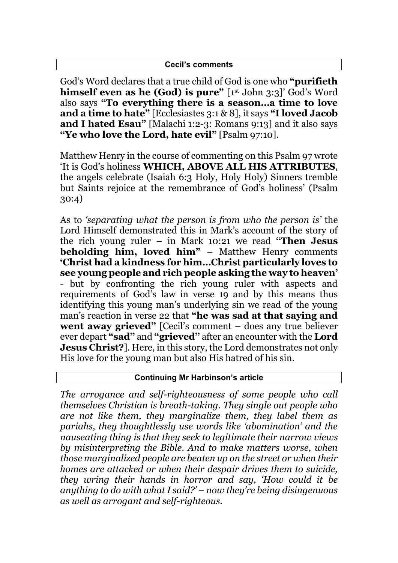### **Cecil's comments**

God's Word declares that a true child of God is one who **"purifieth himself even as he (God) is pure"** [1st John 3:3]' God's Word also says **"To everything there is a season…a time to love and a time to hate"** [Ecclesiastes 3:1 & 8], it says **"I loved Jacob and I hated Esau"** [Malachi 1:2-3: Romans 9:13] and it also says **"Ye who love the Lord, hate evil"** [Psalm 97:10].

Matthew Henry in the course of commenting on this Psalm 97 wrote 'It is God's holiness **WHICH, ABOVE ALL HIS ATTRIBUTES**, the angels celebrate (Isaiah 6:3 Holy, Holy Holy) Sinners tremble but Saints rejoice at the remembrance of God's holiness' (Psalm 30:4)

As to *'separating what the person is from who the person is'* the Lord Himself demonstrated this in Mark's account of the story of the rich young ruler – in Mark 10:21 we read **"Then Jesus beholding him, loved him"** – Matthew Henry comments **'Christ had a kindness for him…Christ particularly loves to see young people and rich people asking the way to heaven'** - but by confronting the rich young ruler with aspects and requirements of God's law in verse 19 and by this means thus identifying this young man's underlying sin we read of the young man's reaction in verse 22 that **"he was sad at that saying and went away grieved"** [Cecil's comment – does any true believer ever depart **"sad"** and **"grieved"** after an encounter with the **Lord Jesus Christ?**]. Here, in this story, the Lord demonstrates not only His love for the young man but also His hatred of his sin.

### **Continuing Mr Harbinson's article**

*The arrogance and self-righteousness of some people who call themselves Christian is breath-taking. They single out people who are not like them, they marginalize them, they label them as pariahs, they thoughtlessly use words like 'abomination' and the nauseating thing is that they seek to legitimate their narrow views by misinterpreting the Bible. And to make matters worse, when those marginalized people are beaten up on the street or when their homes are attacked or when their despair drives them to suicide, they wring their hands in horror and say, 'How could it be anything to do with what I said?' – now they're being disingenuous as well as arrogant and self-righteous.*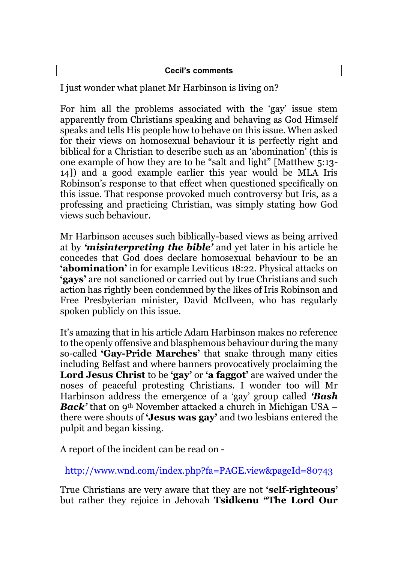## **Cecil's comments**

I just wonder what planet Mr Harbinson is living on?

For him all the problems associated with the 'gay' issue stem apparently from Christians speaking and behaving as God Himself speaks and tells His people how to behave on this issue. When asked for their views on homosexual behaviour it is perfectly right and biblical for a Christian to describe such as an 'abomination' (this is one example of how they are to be "salt and light" [Matthew 5:13- 14]) and a good example earlier this year would be MLA Iris Robinson's response to that effect when questioned specifically on this issue. That response provoked much controversy but Iris, as a professing and practicing Christian, was simply stating how God views such behaviour.

Mr Harbinson accuses such biblically-based views as being arrived at by *'misinterpreting the bible'* and yet later in his article he concedes that God does declare homosexual behaviour to be an **'abomination'** in for example Leviticus 18:22. Physical attacks on **'gays'** are not sanctioned or carried out by true Christians and such action has rightly been condemned by the likes of Iris Robinson and Free Presbyterian minister, David McIlveen, who has regularly spoken publicly on this issue.

It's amazing that in his article Adam Harbinson makes no reference to the openly offensive and blasphemous behaviour during the many so-called **'Gay-Pride Marches'** that snake through many cities including Belfast and where banners provocatively proclaiming the **Lord Jesus Christ** to be **'gay'** or **'a faggot'** are waived under the noses of peaceful protesting Christians. I wonder too will Mr Harbinson address the emergence of a 'gay' group called *'Bash Back'* that on 9<sup>th</sup> November attacked a church in Michigan USA – there were shouts of **'Jesus was gay'** and two lesbians entered the pulpit and began kissing.

A report of the incident can be read on -

<http://www.wnd.com/index.php?fa=PAGE.view&pageId=80743>

True Christians are very aware that they are not **'self-righteous'** but rather they rejoice in Jehovah **Tsidkenu "The Lord Our**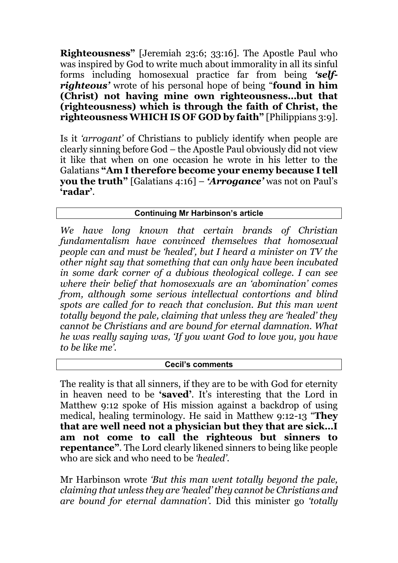**Righteousness"** [Jeremiah 23:6; 33:16]. The Apostle Paul who was inspired by God to write much about immorality in all its sinful forms including homosexual practice far from being *'selfrighteous'* wrote of his personal hope of being "**found in him (Christ) not having mine own righteousness…but that (righteousness) which is through the faith of Christ, the righteousness WHICH IS OF GOD by faith"** [Philippians 3:9].

Is it *'arrogant'* of Christians to publicly identify when people are clearly sinning before God – the Apostle Paul obviously did not view it like that when on one occasion he wrote in his letter to the Galatians **"Am I therefore become your enemy because I tell you the truth"** [Galatians 4:16] – *'Arrogance'* was not on Paul's **'radar'**.

# **Continuing Mr Harbinson's article**

*We have long known that certain brands of Christian fundamentalism have convinced themselves that homosexual people can and must be 'healed', but I heard a minister on TV the other night say that something that can only have been incubated in some dark corner of a dubious theological college. I can see where their belief that homosexuals are an 'abomination' comes from, although some serious intellectual contortions and blind spots are called for to reach that conclusion. But this man went totally beyond the pale, claiming that unless they are 'healed' they cannot be Christians and are bound for eternal damnation. What he was really saying was, 'If you want God to love you, you have to be like me'.*

#### **Cecil's comments**

The reality is that all sinners, if they are to be with God for eternity in heaven need to be **'saved'**. It's interesting that the Lord in Matthew 9:12 spoke of His mission against a backdrop of using medical, healing terminology. He said in Matthew 9:12-13 "**They that are well need not a physician but they that are sick…I am not come to call the righteous but sinners to repentance"**. The Lord clearly likened sinners to being like people who are sick and who need to be *'healed'*.

Mr Harbinson wrote *'But this man went totally beyond the pale, claiming that unless they are 'healed' they cannot be Christians and are bound for eternal damnation'.* Did this minister go *'totally*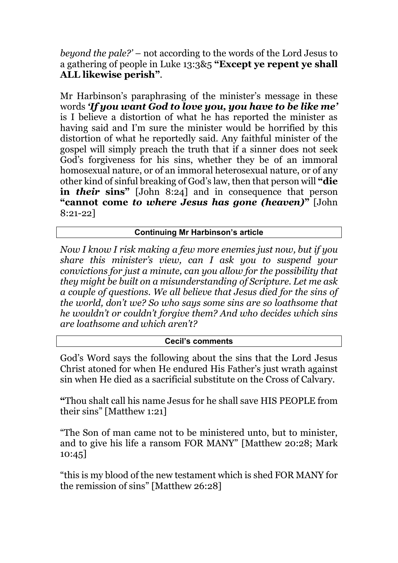*beyond the pale?'* – not according to the words of the Lord Jesus to a gathering of people in Luke 13:3&5 **"Except ye repent ye shall ALL likewise perish"**.

Mr Harbinson's paraphrasing of the minister's message in these words *'If you want God to love you, you have to be like me'* is I believe a distortion of what he has reported the minister as having said and I'm sure the minister would be horrified by this distortion of what he reportedly said. Any faithful minister of the gospel will simply preach the truth that if a sinner does not seek God's forgiveness for his sins, whether they be of an immoral homosexual nature, or of an immoral heterosexual nature, or of any other kind of sinful breaking of God's law, then that person will **"die in** *their* **sins"** [John 8:24] and in consequence that person **"cannot come** *to where Jesus has gone (heaven)***"** [John 8:21-22]

# **Continuing Mr Harbinson's article**

*Now I know I risk making a few more enemies just now, but if you share this minister's view, can I ask you to suspend your convictions for just a minute, can you allow for the possibility that they might be built on a misunderstanding of Scripture. Let me ask a couple of questions. We all believe that Jesus died for the sins of the world, don't we? So who says some sins are so loathsome that he wouldn't or couldn't forgive them? And who decides which sins are loathsome and which aren't?*

#### **Cecil's comments**

God's Word says the following about the sins that the Lord Jesus Christ atoned for when He endured His Father's just wrath against sin when He died as a sacrificial substitute on the Cross of Calvary.

**"**Thou shalt call his name Jesus for he shall save HIS PEOPLE from their sins" [Matthew 1:21]

"The Son of man came not to be ministered unto, but to minister, and to give his life a ransom FOR MANY" [Matthew 20:28; Mark 10:45]

"this is my blood of the new testament which is shed FOR MANY for the remission of sins" [Matthew 26:28]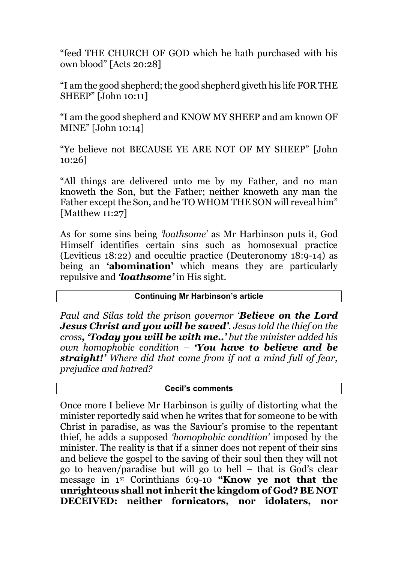"feed THE CHURCH OF GOD which he hath purchased with his own blood" [Acts 20:28]

"I am the good shepherd; the good shepherd giveth his life FOR THE SHEEP" [John 10:11]

"I am the good shepherd and KNOW MY SHEEP and am known OF MINE" [John 10:14]

"Ye believe not BECAUSE YE ARE NOT OF MY SHEEP" [John 10:26]

"All things are delivered unto me by my Father, and no man knoweth the Son, but the Father; neither knoweth any man the Father except the Son, and he TO WHOM THE SON will reveal him" [Matthew 11:27]

As for some sins being *'loathsome'* as Mr Harbinson puts it, God Himself identifies certain sins such as homosexual practice (Leviticus 18:22) and occultic practice (Deuteronomy 18:9-14) as being an **'abomination'** which means they are particularly repulsive and *'loathsome'* in His sight.

### **Continuing Mr Harbinson's article**

*Paul and Silas told the prison governor 'Believe on the Lord Jesus Christ and you will be saved'. Jesus told the thief on the cross, 'Today you will be with me..' but the minister added his own homophobic condition – 'You have to believe and be straight!' Where did that come from if not a mind full of fear, prejudice and hatred?*

## **Cecil's comments**

Once more I believe Mr Harbinson is guilty of distorting what the minister reportedly said when he writes that for someone to be with Christ in paradise, as was the Saviour's promise to the repentant thief, he adds a supposed *'homophobic condition'* imposed by the minister. The reality is that if a sinner does not repent of their sins and believe the gospel to the saving of their soul then they will not go to heaven/paradise but will go to hell – that is God's clear message in 1st Corinthians 6:9-10 **"Know ye not that the unrighteous shall not inherit the kingdom of God? BE NOT DECEIVED: neither fornicators, nor idolaters, nor**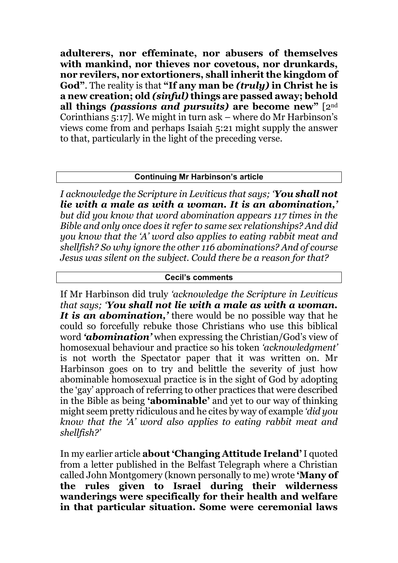**adulterers, nor effeminate, nor abusers of themselves with mankind, nor thieves nor covetous, nor drunkards, nor revilers, nor extortioners, shall inherit the kingdom of God"**. The reality is that **"If any man be** *(truly)* **in Christ he is a new creation; old** *(sinful)* **things are passed away; behold all things** *(passions and pursuits)* **are become new"** [2nd Corinthians 5:17]. We might in turn ask – where do Mr Harbinson's views come from and perhaps Isaiah 5:21 might supply the answer to that, particularly in the light of the preceding verse.

## **Continuing Mr Harbinson's article**

*I acknowledge the Scripture in Leviticus that says; 'You shall not lie with a male as with a woman. It is an abomination,' but did you know that word abomination appears 117 times in the Bible and only once does it refer to same sex relationships? And did you know that the 'A' word also applies to eating rabbit meat and shellfish? So why ignore the other 116 abominations? And of course Jesus was silent on the subject. Could there be a reason for that?*

#### **Cecil's comments**

If Mr Harbinson did truly *'acknowledge the Scripture in Leviticus that says; 'You shall not lie with a male as with a woman. It is an abomination,'* there would be no possible way that he could so forcefully rebuke those Christians who use this biblical word *'abomination'* when expressing the Christian/God's view of homosexual behaviour and practice so his token *'acknowledgment'*  is not worth the Spectator paper that it was written on. Mr Harbinson goes on to try and belittle the severity of just how abominable homosexual practice is in the sight of God by adopting the 'gay' approach of referring to other practices that were described in the Bible as being **'abominable'** and yet to our way of thinking might seem pretty ridiculous and he cites by way of example *'did you know that the 'A' word also applies to eating rabbit meat and shellfish?'*

In my earlier article **about 'Changing Attitude Ireland'**I quoted from a letter published in the Belfast Telegraph where a Christian called John Montgomery (known personally to me) wrote **'Many of the rules given to Israel during their wilderness wanderings were specifically for their health and welfare in that particular situation. Some were ceremonial laws**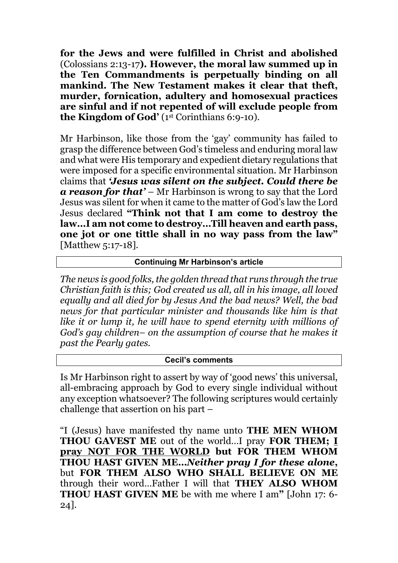**for the Jews and were fulfilled in Christ and abolished** (Colossians 2:13-17**). However, the moral law summed up in the Ten Commandments is perpetually binding on all mankind. The New Testament makes it clear that theft, murder, fornication, adultery and homosexual practices are sinful and if not repented of will exclude people from the Kingdom of God'** (1st Corinthians 6:9-10).

Mr Harbinson, like those from the 'gay' community has failed to grasp the difference between God's timeless and enduring moral law and what were His temporary and expedient dietary regulations that were imposed for a specific environmental situation. Mr Harbinson claims that *'Jesus was silent on the subject. Could there be a reason for that'* – Mr Harbinson is wrong to say that the Lord Jesus was silent for when it came to the matter of God's law the Lord Jesus declared **"Think not that I am come to destroy the law…I am not come to destroy…Till heaven and earth pass, one jot or one tittle shall in no way pass from the law"** [Matthew 5:17-18].

## **Continuing Mr Harbinson's article**

*The news is good folks, the golden thread that runs through the true Christian faith is this; God created us all, all in his image, all loved equally and all died for by Jesus And the bad news? Well, the bad news for that particular minister and thousands like him is that like it or lump it, he will have to spend eternity with millions of God's gay children– on the assumption of course that he makes it past the Pearly gates.*

#### **Cecil's comments**

Is Mr Harbinson right to assert by way of 'good news' this universal, all-embracing approach by God to every single individual without any exception whatsoever? The following scriptures would certainly challenge that assertion on his part –

"I (Jesus) have manifested thy name unto **THE MEN WHOM THOU GAVEST ME** out of the world…I pray **FOR THEM; I pray NOT FOR THE WORLD but FOR THEM WHOM THOU HAST GIVEN ME…***Neither pray I for these alone***,**  but **FOR THEM ALSO WHO SHALL BELIEVE ON ME**  through their word…Father I will that **THEY ALSO WHOM THOU HAST GIVEN ME** be with me where I am**"** [John 17: 6- 24].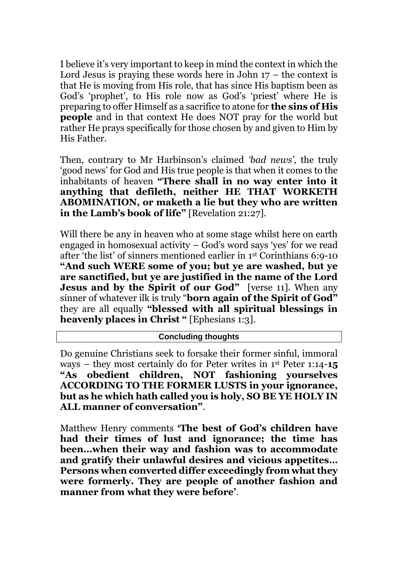I believe it's very important to keep in mind the context in which the Lord Jesus is praying these words here in John  $17$  – the context is that He is moving from His role, that has since His baptism been as God's 'prophet', to His role now as God's 'priest' where He is preparing to offer Himself as a sacrifice to atone for **the sins of His people** and in that context He does NOT pray for the world but rather He prays specifically for those chosen by and given to Him by His Father.

Then, contrary to Mr Harbinson's claimed *'bad news',* the truly 'good news' for God and His true people is that when it comes to the inhabitants of heaven **"There shall in no way enter into it anything that defileth, neither HE THAT WORKETH ABOMINATION, or maketh a lie but they who are written in the Lamb's book of life"** [Revelation 21:27].

Will there be any in heaven who at some stage whilst here on earth engaged in homosexual activity – God's word says 'yes' for we read after 'the list' of sinners mentioned earlier in 1st Corinthians 6:9-10 **"And such WERE some of you; but ye are washed, but ye are sanctified, but ye are justified in the name of the Lord Jesus and by the Spirit of our God"** [verse 11]. When any sinner of whatever ilk is truly "**born again of the Spirit of God"** they are all equally **"blessed with all spiritual blessings in heavenly places in Christ "** [Ephesians 1:3].

#### **Concluding thoughts**

Do genuine Christians seek to forsake their former sinful, immoral ways – they most certainly do for Peter writes in 1st Peter 1:14-**15 "As obedient children, NOT fashioning yourselves ACCORDING TO THE FORMER LUSTS in your ignorance, but as he which hath called you is holy, SO BE YE HOLY IN ALL manner of conversation"**.

Matthew Henry comments **'The best of God's children have had their times of lust and ignorance; the time has been…when their way and fashion was to accommodate and gratify their unlawful desires and vicious appetites… Persons when converted differ exceedingly from what they were formerly. They are people of another fashion and manner from what they were before'**.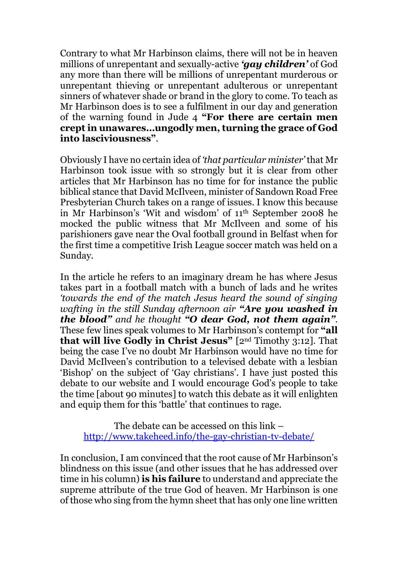Contrary to what Mr Harbinson claims, there will not be in heaven millions of unrepentant and sexually-active *'gay children'* of God any more than there will be millions of unrepentant murderous or unrepentant thieving or unrepentant adulterous or unrepentant sinners of whatever shade or brand in the glory to come. To teach as Mr Harbinson does is to see a fulfilment in our day and generation of the warning found in Jude 4 **"For there are certain men crept in unawares…ungodly men, turning the grace of God into lasciviousness"**.

Obviously I have no certain idea of *'that particular minister'* that Mr Harbinson took issue with so strongly but it is clear from other articles that Mr Harbinson has no time for for instance the public biblical stance that David McIlveen, minister of Sandown Road Free Presbyterian Church takes on a range of issues. I know this because in Mr Harbinson's 'Wit and wisdom' of 11th September 2008 he mocked the public witness that Mr McIlveen and some of his parishioners gave near the Oval football ground in Belfast when for the first time a competitive Irish League soccer match was held on a Sunday.

In the article he refers to an imaginary dream he has where Jesus takes part in a football match with a bunch of lads and he writes *'towards the end of the match Jesus heard the sound of singing wafting in the still Sunday afternoon air "Are you washed in the blood" and he thought "O dear God, not them again".* These few lines speak volumes to Mr Harbinson's contempt for **"all that will live Godly in Christ Jesus"** [2nd Timothy 3:12]. That being the case I've no doubt Mr Harbinson would have no time for David McIlveen's contribution to a televised debate with a lesbian 'Bishop' on the subject of 'Gay christians'. I have just posted this debate to our website and I would encourage God's people to take the time [about 90 minutes] to watch this debate as it will enlighten and equip them for this 'battle' that continues to rage.

The debate can be accessed on this link – <http://www.takeheed.info/the-gay-christian-tv-debate/>

In conclusion, I am convinced that the root cause of Mr Harbinson's blindness on this issue (and other issues that he has addressed over time in his column) **is his failure** to understand and appreciate the supreme attribute of the true God of heaven. Mr Harbinson is one of those who sing from the hymn sheet that has only one line written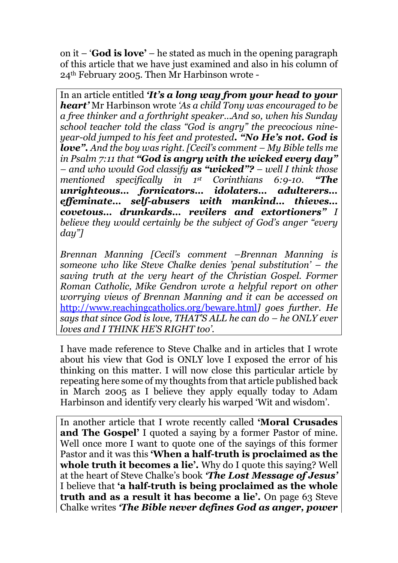on it – '**God is love'** – he stated as much in the opening paragraph of this article that we have just examined and also in his column of 24th February 2005. Then Mr Harbinson wrote -

In an article entitled *'It's a long way from your head to your heart'* Mr Harbinson wrote *'As a child Tony was encouraged to be a free thinker and a forthright speaker…And so, when his Sunday school teacher told the class "God is angry" the precocious nineyear-old jumped to his feet and protested. "No He's not. God is love". And the boy was right. [Cecil's comment – My Bible tells me in Psalm 7:11 that "God is angry with the wicked every day" – and who would God classify as "wicked"? – well I think those mentioned specifically in 1st Corinthians 6:9-10. "The unrighteous… fornicators… idolaters… adulterers… effeminate… self-abusers with mankind… thieves… covetous… drunkards… revilers and extortioners" I believe they would certainly be the subject of God's anger "every day"]* 

*Brennan Manning [Cecil's comment –Brennan Manning is someone who like Steve Chalke denies 'penal substitution' – the saving truth at the very heart of the Christian Gospel. Former Roman Catholic, Mike Gendron wrote a helpful report on other worrying views of Brennan Manning and it can be accessed on*  <http://www.reachingcatholics.org/beware.html>*] goes further. He says that since God is love, THAT'S ALL he can do – he ONLY ever loves and I THINK HE'S RIGHT too'.*

I have made reference to Steve Chalke and in articles that I wrote about his view that God is ONLY love I exposed the error of his thinking on this matter. I will now close this particular article by repeating here some of my thoughts from that article published back in March 2005 as I believe they apply equally today to Adam Harbinson and identify very clearly his warped 'Wit and wisdom'.

In another article that I wrote recently called **'Moral Crusades and The Gospel'** I quoted a saying by a former Pastor of mine. Well once more I want to quote one of the sayings of this former Pastor and it was this **'When a half-truth is proclaimed as the whole truth it becomes a lie'.** Why do I quote this saying? Well at the heart of Steve Chalke's book *'The Lost Message of Jesus'*  I believe that **'a half-truth is being proclaimed as the whole truth and as a result it has become a lie'.** On page 63 Steve Chalke writes *'The Bible never defines God as anger, power*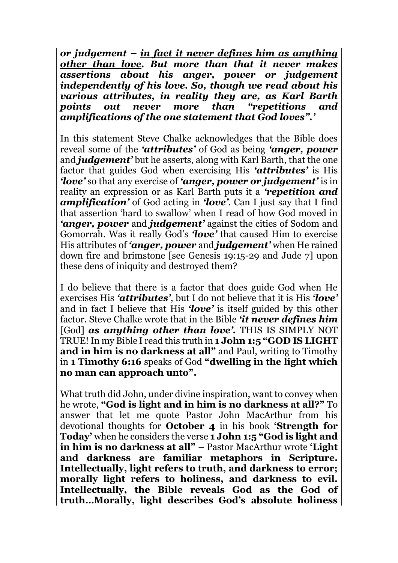*or judgement – in fact it never defines him as anything other than love. But more than that it never makes assertions about his anger, power or judgement independently of his love. So, though we read about his various attributes, in reality they are, as Karl Barth points out never more than "repetitions and amplifications of the one statement that God loves".'*

In this statement Steve Chalke acknowledges that the Bible does reveal some of the *'attributes'* of God as being *'anger, power*  and *judgement'* but he asserts, along with Karl Barth, that the one factor that guides God when exercising His *'attributes'* is His *'love'* so that any exercise of *'anger, power or judgement'* is in reality an expression or as Karl Barth puts it a *'repetition and amplification'* of God acting in *'love'*. Can I just say that I find that assertion 'hard to swallow' when I read of how God moved in *'anger, power* and *judgement'* against the cities of Sodom and Gomorrah. Was it really God's *'love'* that caused Him to exercise His attributes of *'anger, power* and *judgement'* when He rained down fire and brimstone [see Genesis 19:15-29 and Jude 7] upon these dens of iniquity and destroyed them?

I do believe that there is a factor that does guide God when He exercises His *'attributes'*, but I do not believe that it is His *'love'*  and in fact I believe that His *'love'* is itself guided by this other factor. Steve Chalke wrote that in the Bible *'it never defines him*  [God] *as anything other than love'.* THIS IS SIMPLY NOT TRUE! In my Bible I read this truth in **1 John 1:5 "GOD IS LIGHT and in him is no darkness at all"** and Paul, writing to Timothy in **1 Timothy 6:16** speaks of God **"dwelling in the light which no man can approach unto".** 

What truth did John, under divine inspiration, want to convey when he wrote, **"God is light and in him is no darkness at all?"** To answer that let me quote Pastor John MacArthur from his devotional thoughts for **October 4** in his book **'Strength for Today'** when he considers the verse **1 John 1:5 "God is light and in him is no darkness at all"** – Pastor MacArthur wrote **'Light and darkness are familiar metaphors in Scripture. Intellectually, light refers to truth, and darkness to error; morally light refers to holiness, and darkness to evil. Intellectually, the Bible reveals God as the God of truth…Morally, light describes God's absolute holiness**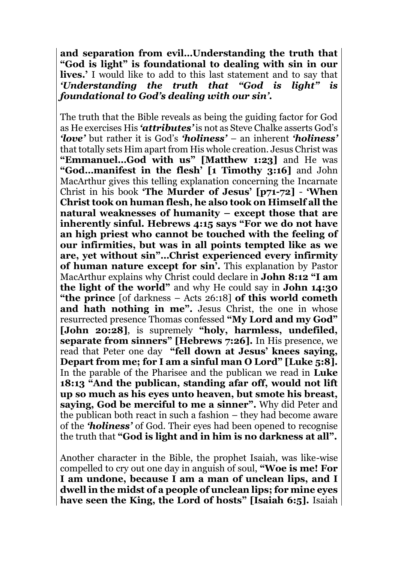**and separation from evil…Understanding the truth that "God is light" is foundational to dealing with sin in our lives.'** I would like to add to this last statement and to say that *'Understanding the truth that "God is light" is foundational to God's dealing with our sin'.* 

The truth that the Bible reveals as being the guiding factor for God as He exercises His *'attributes'* is not as Steve Chalke asserts God's *'love'* but rather it is God's *'holiness'* – an inherent *'holiness'*  that totally sets Him apart from His whole creation. Jesus Christ was **"Emmanuel…God with us" [Matthew 1:23]** and He was **"God…manifest in the flesh' [1 Timothy 3:16]** and John MacArthur gives this telling explanation concerning the Incarnate Christ in his book **'The Murder of Jesus' [p71-72]** - **'When Christ took on human flesh, he also took on Himself all the natural weaknesses of humanity – except those that are inherently sinful. Hebrews 4:15 says "For we do not have an high priest who cannot be touched with the feeling of our infirmities, but was in all points tempted like as we are, yet without sin"…Christ experienced every infirmity of human nature except for sin'.** This explanation by Pastor MacArthur explains why Christ could declare in **John 8:12 "I am the light of the world"** and why He could say in **John 14:30 "the prince** [of darkness – Acts 26:18] **of this world cometh**  and hath nothing in me". Jesus Christ, the one in whose resurrected presence Thomas confessed **"My Lord and my God" [John 20:28]**, is supremely **"holy, harmless, undefiled, separate from sinners" [Hebrews 7:26].** In His presence, we read that Peter one day **"fell down at Jesus' knees saying, Depart from me; for I am a sinful man O Lord" [Luke 5:8].**  In the parable of the Pharisee and the publican we read in **Luke 18:13 "And the publican, standing afar off, would not lift up so much as his eyes unto heaven, but smote his breast, saying, God be merciful to me a sinner".** Why did Peter and the publican both react in such a fashion – they had become aware of the *'holiness'* of God. Their eyes had been opened to recognise the truth that **"God is light and in him is no darkness at all".**

Another character in the Bible, the prophet Isaiah, was like-wise compelled to cry out one day in anguish of soul, **"Woe is me! For I am undone, because I am a man of unclean lips, and I dwell in the midst of a people of unclean lips; for mine eyes have seen the King, the Lord of hosts" [Isaiah 6:5].** Isaiah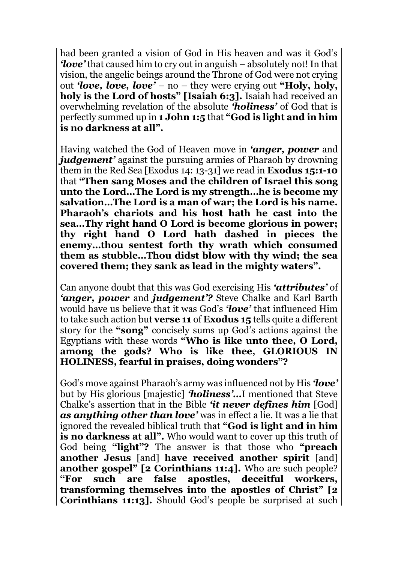had been granted a vision of God in His heaven and was it God's *'love'* that caused him to cry out in anguish – absolutely not! In that vision, the angelic beings around the Throne of God were not crying out *'love, love, love'* – no – they were crying out **"Holy, holy, holy is the Lord of hosts" [Isaiah 6:3].** Isaiah had received an overwhelming revelation of the absolute *'holiness'* of God that is perfectly summed up in **1 John 1:5** that **"God is light and in him is no darkness at all".**

Having watched the God of Heaven move in *'anger, power* and *judgement'* against the pursuing armies of Pharaoh by drowning them in the Red Sea [Exodus 14: 13-31] we read in **Exodus 15:1-10**  that **"Then sang Moses and the children of Israel this song unto the Lord…The Lord is my strength…he is become my salvation…The Lord is a man of war; the Lord is his name. Pharaoh's chariots and his host hath he cast into the sea…Thy right hand O Lord is become glorious in power; thy right hand O Lord hath dashed in pieces the enemy…thou sentest forth thy wrath which consumed them as stubble…Thou didst blow with thy wind; the sea covered them; they sank as lead in the mighty waters".**

Can anyone doubt that this was God exercising His *'attributes'* of *'anger, power* and *judgement'?* Steve Chalke and Karl Barth would have us believe that it was God's *'love'* that influenced Him to take such action but **verse 11** of **Exodus 15** tells quite a different story for the **"song"** concisely sums up God's actions against the Egyptians with these words **"Who is like unto thee, O Lord, among the gods? Who is like thee, GLORIOUS IN HOLINESS, fearful in praises, doing wonders"?**

God's move against Pharaoh's army was influenced not by His *'love'*  but by His glorious [majestic] *'holiness'…*I mentioned that Steve Chalke's assertion that in the Bible *'it never defines him* [God] *as anything other than love'* was in effect a lie. It was a lie that ignored the revealed biblical truth that **"God is light and in him is no darkness at all".** Who would want to cover up this truth of God being **"light"?** The answer is that those who **"preach another Jesus** [and] **have received another spirit** [and] **another gospel" [2 Corinthians 11:4].** Who are such people? **"For such are false apostles, deceitful workers, transforming themselves into the apostles of Christ" [2 Corinthians 11:13].** Should God's people be surprised at such